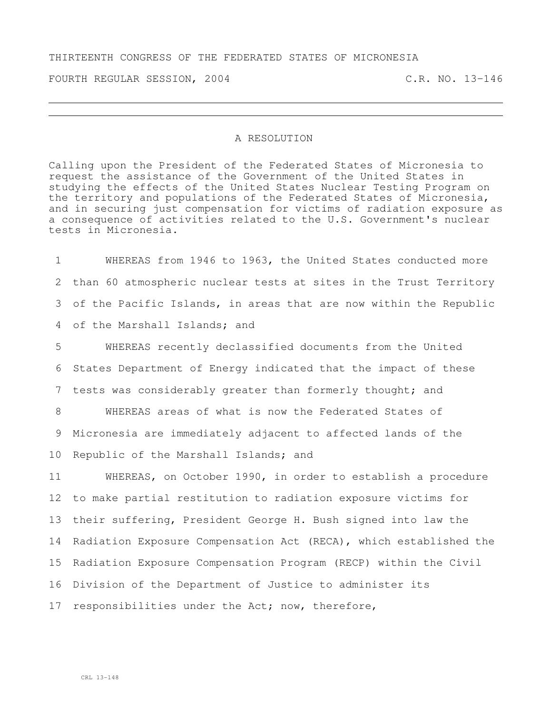## THIRTEENTH CONGRESS OF THE FEDERATED STATES OF MICRONESIA

FOURTH REGULAR SESSION, 2004 C.R. NO. 13-146

## A RESOLUTION

Calling upon the President of the Federated States of Micronesia to request the assistance of the Government of the United States in studying the effects of the United States Nuclear Testing Program on the territory and populations of the Federated States of Micronesia, and in securing just compensation for victims of radiation exposure as a consequence of activities related to the U.S. Government's nuclear tests in Micronesia.

 WHEREAS from 1946 to 1963, the United States conducted more than 60 atmospheric nuclear tests at sites in the Trust Territory of the Pacific Islands, in areas that are now within the Republic of the Marshall Islands; and

5 WHEREAS recently declassified documents from the United 6 States Department of Energy indicated that the impact of these 7 tests was considerably greater than formerly thought; and

8 WHEREAS areas of what is now the Federated States of 9 Micronesia are immediately adjacent to affected lands of the 10 Republic of the Marshall Islands; and

 WHEREAS, on October 1990, in order to establish a procedure to make partial restitution to radiation exposure victims for their suffering, President George H. Bush signed into law the Radiation Exposure Compensation Act (RECA), which established the Radiation Exposure Compensation Program (RECP) within the Civil Division of the Department of Justice to administer its responsibilities under the Act; now, therefore,